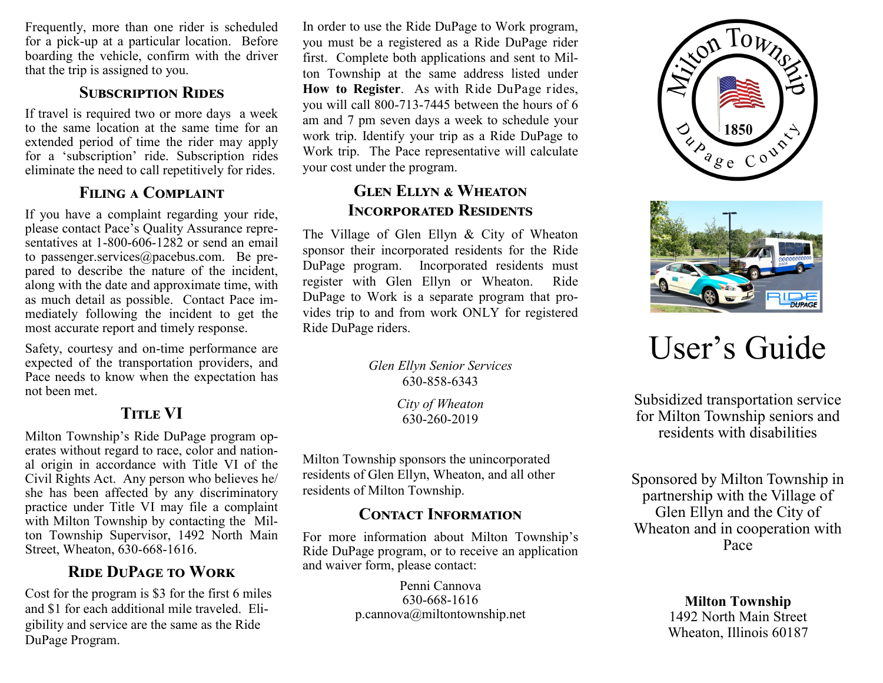Frequently, more than one rider is scheduled for a pick-up at a particular location. Before boarding the vehicle, confirm with the driver that the trip is assigned to you.

#### **SUBSCRIPTION RIDES**

If travel is required two or more days a week to the same location at the same time for an extended period of time the rider may apply for a 'subscription' ride. Subscription rides eliminate the need to call repetitively for rides.

#### **Filing a Complaint**

If you have a complaint regarding your ride, please contact Pace's Quality Assurance representatives at 1-800-606-1282 or send an email to passenger.services@pacebus.com. Be prepared to describe the nature of the incident, along with the date and approximate time, with as much detail as possible. Contact Pace immediately following the incident to get the most accurate report and timely response.

Safety, courtesy and on-time performance are expected of the transportation providers, and Pace needs to know when the expectation has not been met.

# **TITLE VI**

Milton Township's Ride DuPage program operates without regard to race, color and national origin in accordance with Title VI of the Civil Rights Act. Any person who believes he/ she has been affected by any discriminatory practice under Title VI may file a complaint with Milton Township by contacting the Milton Township Supervisor, 1492 North Main Street, Wheaton, 630-668-1616.

# **Ride DuPage to Work**

Cost for the program is \$3 for the first 6 miles and \$1 for each additional mile traveled. Eligibility and service are the same as the Ride DuPage Program.

In order to use the Ride DuPage to Work program, you must be a registered as a Ride DuPage rider first. Complete both applications and sent to Milton Township at the same address listed under **How to Register**. As with Ride DuPage rides, you will call 800-713-7445 between the hours of 6 am and 7 pm seven days a week to schedule your work trip. Identify your trip as a Ride DuPage to Work trip. The Pace representative will calculate your cost under the program.

# **Glen Ellyn & Wheaton Incorporated Residents**

The Village of Glen Ellyn & City of Wheaton sponsor their incorporated residents for the Ride DuPage program. Incorporated residents must register with Glen Ellyn or Wheaton. Ride DuPage to Work is a separate program that provides trip to and from work ONLY for registered Ride DuPage riders.

> *Glen Ellyn Senior Services* 630-858-6343

> > *City of Wheaton* 630-260-2019

Milton Township sponsors the unincorporated residents of Glen Ellyn, Wheaton, and all other residents of Milton Township.

# **Contact Information**

For more information about Milton Township's Ride DuPage program, or to receive an application and waiver form, please contact:

> Penni Cannova 630-668-1616 p.cannova@miltontownship.net





# User's Guide

Subsidized transportation service for Milton Township seniors and residents with disabilities

Sponsored by Milton Township in partnership with the Village of Glen Ellyn and the City of Wheaton and in cooperation with Pace

> **Milton Township** 1492 North Main Street Wheaton, Illinois 60187